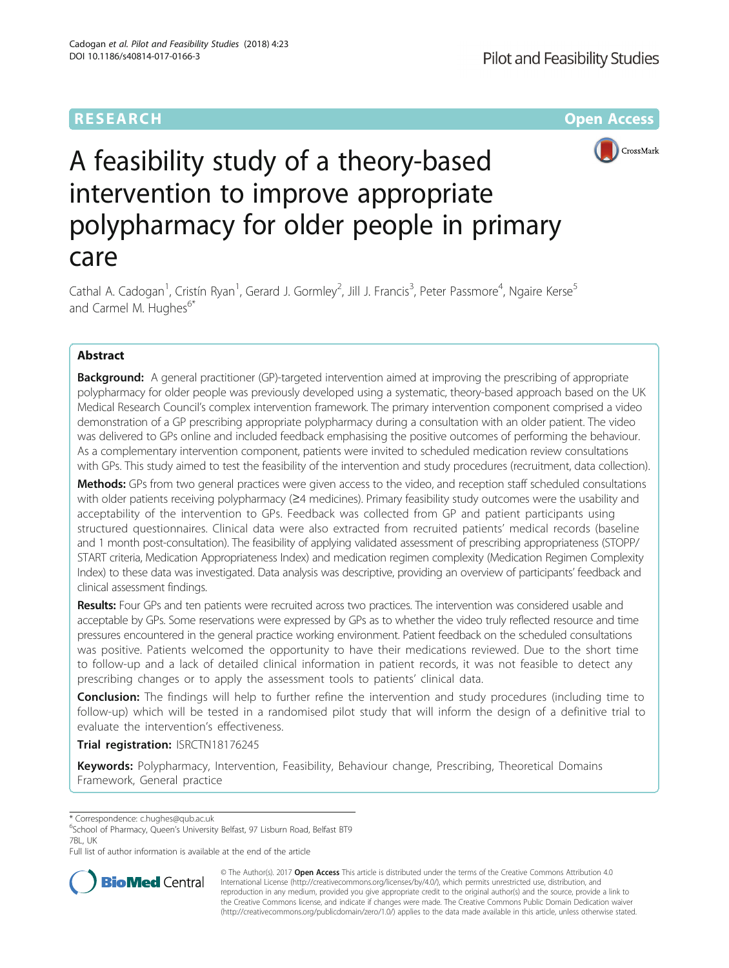# **RESEARCH CHEAR CHEAR CHEAR CHEAR CHEAR CHEAR CHEAR CHEAR CHEAR CHEAR CHEAR CHEAR CHEAR CHEAR CHEAR CHEAR CHEAR**



# A feasibility study of a theory-based intervention to improve appropriate polypharmacy for older people in primary care

Cathal A. Cadogan<sup>1</sup>, Cristín Ryan<sup>1</sup>, Gerard J. Gormley<sup>2</sup>, Jill J. Francis<sup>3</sup>, Peter Passmore<sup>4</sup>, Ngaire Kerse<sup>5</sup> and Carmel M. Hughes<sup>6\*</sup>

# Abstract

**Background:** A general practitioner (GP)-targeted intervention aimed at improving the prescribing of appropriate polypharmacy for older people was previously developed using a systematic, theory-based approach based on the UK Medical Research Council's complex intervention framework. The primary intervention component comprised a video demonstration of a GP prescribing appropriate polypharmacy during a consultation with an older patient. The video was delivered to GPs online and included feedback emphasising the positive outcomes of performing the behaviour. As a complementary intervention component, patients were invited to scheduled medication review consultations with GPs. This study aimed to test the feasibility of the intervention and study procedures (recruitment, data collection).

Methods: GPs from two general practices were given access to the video, and reception staff scheduled consultations with older patients receiving polypharmacy (≥4 medicines). Primary feasibility study outcomes were the usability and acceptability of the intervention to GPs. Feedback was collected from GP and patient participants using structured questionnaires. Clinical data were also extracted from recruited patients' medical records (baseline and 1 month post-consultation). The feasibility of applying validated assessment of prescribing appropriateness (STOPP/ START criteria, Medication Appropriateness Index) and medication regimen complexity (Medication Regimen Complexity Index) to these data was investigated. Data analysis was descriptive, providing an overview of participants' feedback and clinical assessment findings.

Results: Four GPs and ten patients were recruited across two practices. The intervention was considered usable and acceptable by GPs. Some reservations were expressed by GPs as to whether the video truly reflected resource and time pressures encountered in the general practice working environment. Patient feedback on the scheduled consultations was positive. Patients welcomed the opportunity to have their medications reviewed. Due to the short time to follow-up and a lack of detailed clinical information in patient records, it was not feasible to detect any prescribing changes or to apply the assessment tools to patients' clinical data.

**Conclusion:** The findings will help to further refine the intervention and study procedures (including time to follow-up) which will be tested in a randomised pilot study that will inform the design of a definitive trial to evaluate the intervention's effectiveness.

Trial registration: ISRCTN18176245

Keywords: Polypharmacy, Intervention, Feasibility, Behaviour change, Prescribing, Theoretical Domains Framework, General practice

\* Correspondence: [c.hughes@qub.ac.uk](mailto:c.hughes@qub.ac.uk) <sup>6</sup>

<sup>6</sup>School of Pharmacy, Queen's University Belfast, 97 Lisburn Road, Belfast BT9 7BL, UK

Full list of author information is available at the end of the article



© The Author(s). 2017 **Open Access** This article is distributed under the terms of the Creative Commons Attribution 4.0 International License [\(http://creativecommons.org/licenses/by/4.0/](http://creativecommons.org/licenses/by/4.0/)), which permits unrestricted use, distribution, and reproduction in any medium, provided you give appropriate credit to the original author(s) and the source, provide a link to the Creative Commons license, and indicate if changes were made. The Creative Commons Public Domain Dedication waiver [\(http://creativecommons.org/publicdomain/zero/1.0/](http://creativecommons.org/publicdomain/zero/1.0/)) applies to the data made available in this article, unless otherwise stated.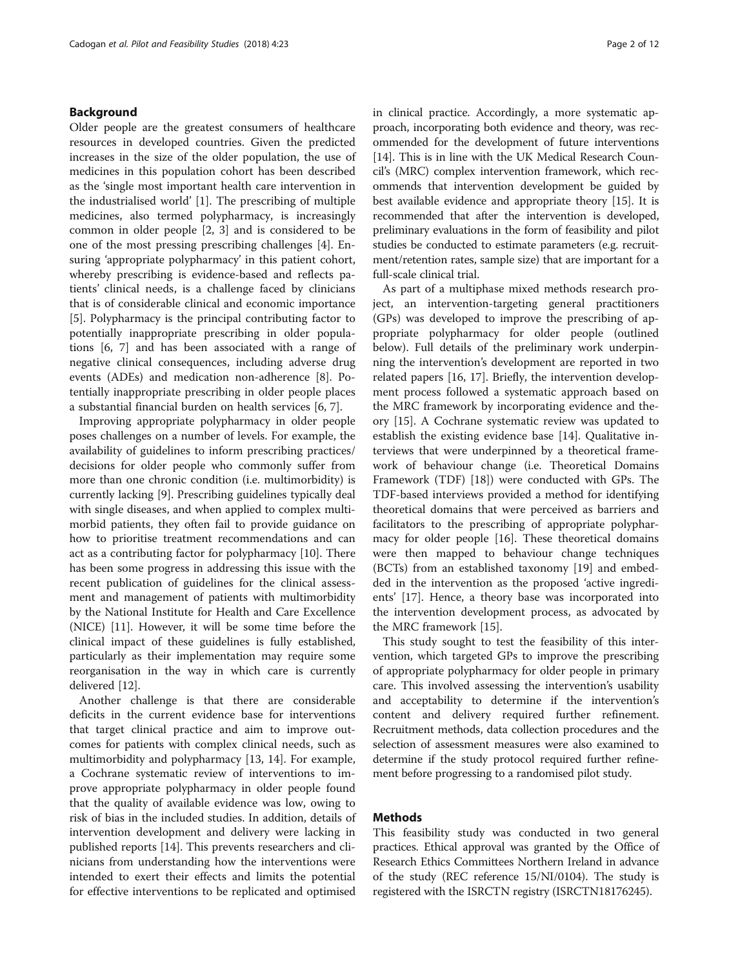## Background

Older people are the greatest consumers of healthcare resources in developed countries. Given the predicted increases in the size of the older population, the use of medicines in this population cohort has been described as the 'single most important health care intervention in the industrialised world' [[1\]](#page-11-0). The prescribing of multiple medicines, also termed polypharmacy, is increasingly common in older people [\[2, 3](#page-11-0)] and is considered to be one of the most pressing prescribing challenges [\[4](#page-11-0)]. Ensuring 'appropriate polypharmacy' in this patient cohort, whereby prescribing is evidence-based and reflects patients' clinical needs, is a challenge faced by clinicians that is of considerable clinical and economic importance [[5\]](#page-11-0). Polypharmacy is the principal contributing factor to potentially inappropriate prescribing in older populations [\[6](#page-11-0), [7\]](#page-11-0) and has been associated with a range of negative clinical consequences, including adverse drug events (ADEs) and medication non-adherence [\[8](#page-11-0)]. Potentially inappropriate prescribing in older people places a substantial financial burden on health services [[6, 7\]](#page-11-0).

Improving appropriate polypharmacy in older people poses challenges on a number of levels. For example, the availability of guidelines to inform prescribing practices/ decisions for older people who commonly suffer from more than one chronic condition (i.e. multimorbidity) is currently lacking [[9\]](#page-11-0). Prescribing guidelines typically deal with single diseases, and when applied to complex multimorbid patients, they often fail to provide guidance on how to prioritise treatment recommendations and can act as a contributing factor for polypharmacy [\[10](#page-11-0)]. There has been some progress in addressing this issue with the recent publication of guidelines for the clinical assessment and management of patients with multimorbidity by the National Institute for Health and Care Excellence (NICE) [[11](#page-11-0)]. However, it will be some time before the clinical impact of these guidelines is fully established, particularly as their implementation may require some reorganisation in the way in which care is currently delivered [[12\]](#page-11-0).

Another challenge is that there are considerable deficits in the current evidence base for interventions that target clinical practice and aim to improve outcomes for patients with complex clinical needs, such as multimorbidity and polypharmacy [[13, 14\]](#page-11-0). For example, a Cochrane systematic review of interventions to improve appropriate polypharmacy in older people found that the quality of available evidence was low, owing to risk of bias in the included studies. In addition, details of intervention development and delivery were lacking in published reports [\[14\]](#page-11-0). This prevents researchers and clinicians from understanding how the interventions were intended to exert their effects and limits the potential for effective interventions to be replicated and optimised in clinical practice. Accordingly, a more systematic approach, incorporating both evidence and theory, was recommended for the development of future interventions [[14](#page-11-0)]. This is in line with the UK Medical Research Council's (MRC) complex intervention framework, which recommends that intervention development be guided by best available evidence and appropriate theory [\[15\]](#page-11-0). It is recommended that after the intervention is developed, preliminary evaluations in the form of feasibility and pilot studies be conducted to estimate parameters (e.g. recruitment/retention rates, sample size) that are important for a full-scale clinical trial.

As part of a multiphase mixed methods research project, an intervention-targeting general practitioners (GPs) was developed to improve the prescribing of appropriate polypharmacy for older people (outlined below). Full details of the preliminary work underpinning the intervention's development are reported in two related papers [[16, 17\]](#page-11-0). Briefly, the intervention development process followed a systematic approach based on the MRC framework by incorporating evidence and theory [[15\]](#page-11-0). A Cochrane systematic review was updated to establish the existing evidence base [[14](#page-11-0)]. Qualitative interviews that were underpinned by a theoretical framework of behaviour change (i.e. Theoretical Domains Framework (TDF) [[18](#page-11-0)]) were conducted with GPs. The TDF-based interviews provided a method for identifying theoretical domains that were perceived as barriers and facilitators to the prescribing of appropriate polypharmacy for older people [\[16](#page-11-0)]. These theoretical domains were then mapped to behaviour change techniques (BCTs) from an established taxonomy [[19](#page-11-0)] and embedded in the intervention as the proposed 'active ingredients' [\[17](#page-11-0)]. Hence, a theory base was incorporated into the intervention development process, as advocated by the MRC framework [\[15](#page-11-0)].

This study sought to test the feasibility of this intervention, which targeted GPs to improve the prescribing of appropriate polypharmacy for older people in primary care. This involved assessing the intervention's usability and acceptability to determine if the intervention's content and delivery required further refinement. Recruitment methods, data collection procedures and the selection of assessment measures were also examined to determine if the study protocol required further refinement before progressing to a randomised pilot study.

## Methods

This feasibility study was conducted in two general practices. Ethical approval was granted by the Office of Research Ethics Committees Northern Ireland in advance of the study (REC reference 15/NI/0104). The study is registered with the ISRCTN registry (ISRCTN18176245).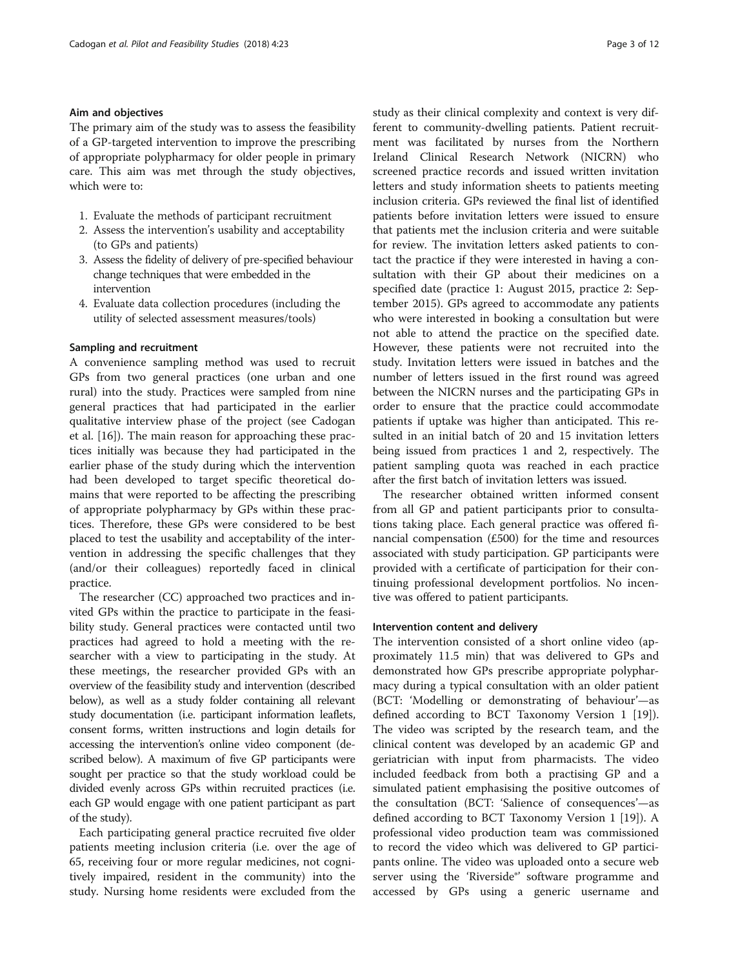#### Aim and objectives

The primary aim of the study was to assess the feasibility of a GP-targeted intervention to improve the prescribing of appropriate polypharmacy for older people in primary care. This aim was met through the study objectives, which were to:

- 1. Evaluate the methods of participant recruitment
- 2. Assess the intervention's usability and acceptability (to GPs and patients)
- 3. Assess the fidelity of delivery of pre-specified behaviour change techniques that were embedded in the intervention
- 4. Evaluate data collection procedures (including the utility of selected assessment measures/tools)

#### Sampling and recruitment

A convenience sampling method was used to recruit GPs from two general practices (one urban and one rural) into the study. Practices were sampled from nine general practices that had participated in the earlier qualitative interview phase of the project (see Cadogan et al. [[16\]](#page-11-0)). The main reason for approaching these practices initially was because they had participated in the earlier phase of the study during which the intervention had been developed to target specific theoretical domains that were reported to be affecting the prescribing of appropriate polypharmacy by GPs within these practices. Therefore, these GPs were considered to be best placed to test the usability and acceptability of the intervention in addressing the specific challenges that they (and/or their colleagues) reportedly faced in clinical practice.

The researcher (CC) approached two practices and invited GPs within the practice to participate in the feasibility study. General practices were contacted until two practices had agreed to hold a meeting with the researcher with a view to participating in the study. At these meetings, the researcher provided GPs with an overview of the feasibility study and intervention (described below), as well as a study folder containing all relevant study documentation (i.e. participant information leaflets, consent forms, written instructions and login details for accessing the intervention's online video component (described below). A maximum of five GP participants were sought per practice so that the study workload could be divided evenly across GPs within recruited practices (i.e. each GP would engage with one patient participant as part of the study).

Each participating general practice recruited five older patients meeting inclusion criteria (i.e. over the age of 65, receiving four or more regular medicines, not cognitively impaired, resident in the community) into the study. Nursing home residents were excluded from the study as their clinical complexity and context is very different to community-dwelling patients. Patient recruitment was facilitated by nurses from the Northern Ireland Clinical Research Network (NICRN) who screened practice records and issued written invitation letters and study information sheets to patients meeting inclusion criteria. GPs reviewed the final list of identified patients before invitation letters were issued to ensure that patients met the inclusion criteria and were suitable for review. The invitation letters asked patients to contact the practice if they were interested in having a consultation with their GP about their medicines on a specified date (practice 1: August 2015, practice 2: September 2015). GPs agreed to accommodate any patients who were interested in booking a consultation but were not able to attend the practice on the specified date. However, these patients were not recruited into the study. Invitation letters were issued in batches and the number of letters issued in the first round was agreed between the NICRN nurses and the participating GPs in order to ensure that the practice could accommodate patients if uptake was higher than anticipated. This resulted in an initial batch of 20 and 15 invitation letters being issued from practices 1 and 2, respectively. The patient sampling quota was reached in each practice after the first batch of invitation letters was issued.

The researcher obtained written informed consent from all GP and patient participants prior to consultations taking place. Each general practice was offered financial compensation (£500) for the time and resources associated with study participation. GP participants were provided with a certificate of participation for their continuing professional development portfolios. No incentive was offered to patient participants.

## Intervention content and delivery

The intervention consisted of a short online video (approximately 11.5 min) that was delivered to GPs and demonstrated how GPs prescribe appropriate polypharmacy during a typical consultation with an older patient (BCT: 'Modelling or demonstrating of behaviour'—as defined according to BCT Taxonomy Version 1 [\[19](#page-11-0)]). The video was scripted by the research team, and the clinical content was developed by an academic GP and geriatrician with input from pharmacists. The video included feedback from both a practising GP and a simulated patient emphasising the positive outcomes of the consultation (BCT: 'Salience of consequences'—as defined according to BCT Taxonomy Version 1 [[19\]](#page-11-0)). A professional video production team was commissioned to record the video which was delivered to GP participants online. The video was uploaded onto a secure web server using the 'Riverside®' software programme and accessed by GPs using a generic username and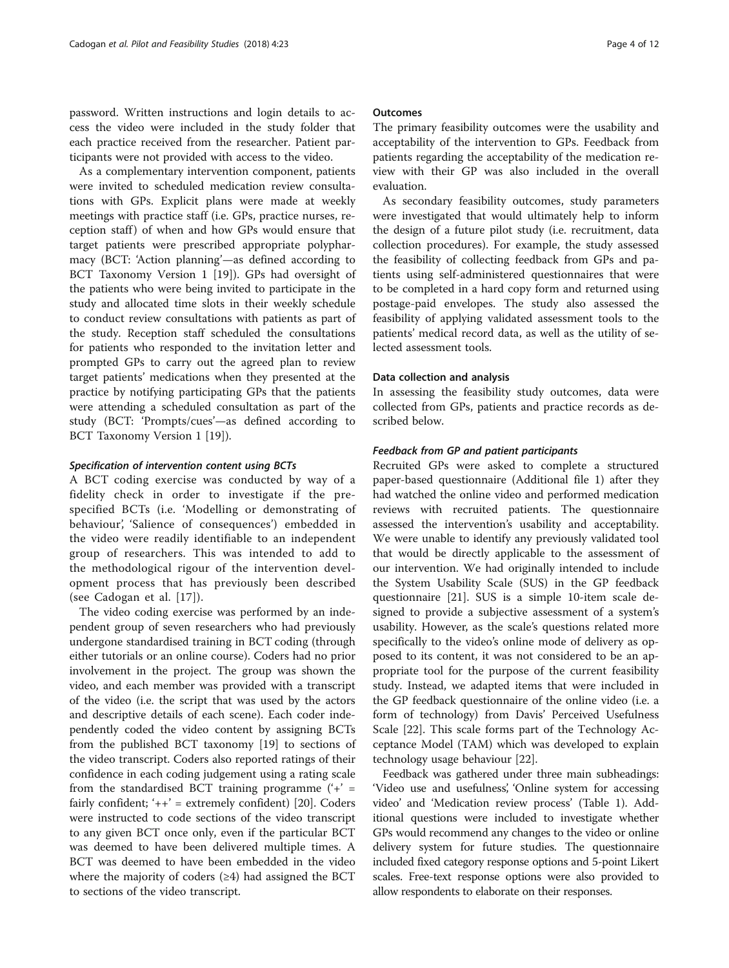password. Written instructions and login details to access the video were included in the study folder that each practice received from the researcher. Patient participants were not provided with access to the video.

As a complementary intervention component, patients were invited to scheduled medication review consultations with GPs. Explicit plans were made at weekly meetings with practice staff (i.e. GPs, practice nurses, reception staff) of when and how GPs would ensure that target patients were prescribed appropriate polypharmacy (BCT: 'Action planning'—as defined according to BCT Taxonomy Version 1 [\[19](#page-11-0)]). GPs had oversight of the patients who were being invited to participate in the study and allocated time slots in their weekly schedule to conduct review consultations with patients as part of the study. Reception staff scheduled the consultations for patients who responded to the invitation letter and prompted GPs to carry out the agreed plan to review target patients' medications when they presented at the practice by notifying participating GPs that the patients were attending a scheduled consultation as part of the study (BCT: 'Prompts/cues'—as defined according to BCT Taxonomy Version 1 [[19\]](#page-11-0)).

#### Specification of intervention content using BCTs

A BCT coding exercise was conducted by way of a fidelity check in order to investigate if the prespecified BCTs (i.e. 'Modelling or demonstrating of behaviour', 'Salience of consequences') embedded in the video were readily identifiable to an independent group of researchers. This was intended to add to the methodological rigour of the intervention development process that has previously been described (see Cadogan et al. [[17](#page-11-0)]).

The video coding exercise was performed by an independent group of seven researchers who had previously undergone standardised training in BCT coding (through either tutorials or an online course). Coders had no prior involvement in the project. The group was shown the video, and each member was provided with a transcript of the video (i.e. the script that was used by the actors and descriptive details of each scene). Each coder independently coded the video content by assigning BCTs from the published BCT taxonomy [[19\]](#page-11-0) to sections of the video transcript. Coders also reported ratings of their confidence in each coding judgement using a rating scale from the standardised BCT training programme  $(+)$  = fairly confident;  $'++$ ' = extremely confident) [\[20](#page-11-0)]. Coders were instructed to code sections of the video transcript to any given BCT once only, even if the particular BCT was deemed to have been delivered multiple times. A BCT was deemed to have been embedded in the video where the majority of coders  $(\geq 4)$  had assigned the BCT to sections of the video transcript.

#### **Outcomes**

The primary feasibility outcomes were the usability and acceptability of the intervention to GPs. Feedback from patients regarding the acceptability of the medication review with their GP was also included in the overall evaluation.

As secondary feasibility outcomes, study parameters were investigated that would ultimately help to inform the design of a future pilot study (i.e. recruitment, data collection procedures). For example, the study assessed the feasibility of collecting feedback from GPs and patients using self-administered questionnaires that were to be completed in a hard copy form and returned using postage-paid envelopes. The study also assessed the feasibility of applying validated assessment tools to the patients' medical record data, as well as the utility of selected assessment tools.

#### Data collection and analysis

In assessing the feasibility study outcomes, data were collected from GPs, patients and practice records as described below.

#### Feedback from GP and patient participants

Recruited GPs were asked to complete a structured paper-based questionnaire (Additional file [1\)](#page-10-0) after they had watched the online video and performed medication reviews with recruited patients. The questionnaire assessed the intervention's usability and acceptability. We were unable to identify any previously validated tool that would be directly applicable to the assessment of our intervention. We had originally intended to include the System Usability Scale (SUS) in the GP feedback questionnaire [\[21](#page-11-0)]. SUS is a simple 10-item scale designed to provide a subjective assessment of a system's usability. However, as the scale's questions related more specifically to the video's online mode of delivery as opposed to its content, it was not considered to be an appropriate tool for the purpose of the current feasibility study. Instead, we adapted items that were included in the GP feedback questionnaire of the online video (i.e. a form of technology) from Davis' Perceived Usefulness Scale [[22](#page-11-0)]. This scale forms part of the Technology Acceptance Model (TAM) which was developed to explain technology usage behaviour [\[22](#page-11-0)].

Feedback was gathered under three main subheadings: 'Video use and usefulness', 'Online system for accessing video' and 'Medication review process' (Table [1\)](#page-4-0). Additional questions were included to investigate whether GPs would recommend any changes to the video or online delivery system for future studies. The questionnaire included fixed category response options and 5-point Likert scales. Free-text response options were also provided to allow respondents to elaborate on their responses.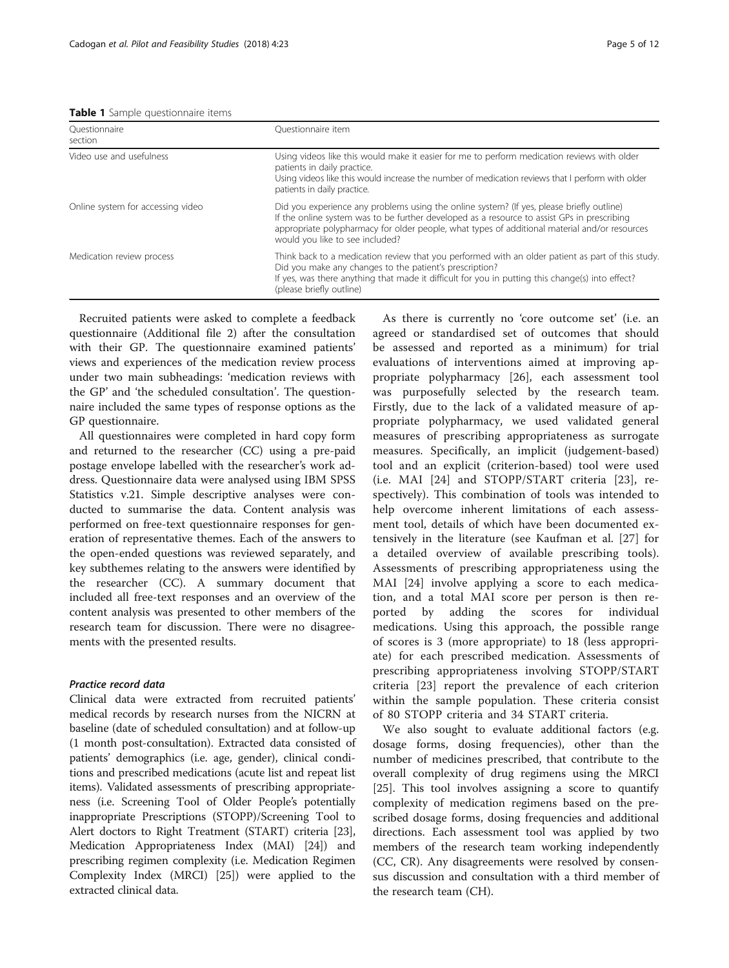<span id="page-4-0"></span>

| Ouestionnaire<br>section          | Questionnaire item                                                                                                                                                                                                                                                                                                           |
|-----------------------------------|------------------------------------------------------------------------------------------------------------------------------------------------------------------------------------------------------------------------------------------------------------------------------------------------------------------------------|
| Video use and usefulness          | Using videos like this would make it easier for me to perform medication reviews with older<br>patients in daily practice.<br>Using videos like this would increase the number of medication reviews that I perform with older<br>patients in daily practice.                                                                |
| Online system for accessing video | Did you experience any problems using the online system? (If yes, please briefly outline)<br>If the online system was to be further developed as a resource to assist GPs in prescribing<br>appropriate polypharmacy for older people, what types of additional material and/or resources<br>would you like to see included? |
| Medication review process         | Think back to a medication review that you performed with an older patient as part of this study<br>Did you make any changes to the patient's prescription?<br>If yes, was there anything that made it difficult for you in putting this change(s) into effect?<br>(please briefly outline)                                  |

Recruited patients were asked to complete a feedback questionnaire (Additional file [2\)](#page-10-0) after the consultation with their GP. The questionnaire examined patients' views and experiences of the medication review process under two main subheadings: 'medication reviews with the GP' and 'the scheduled consultation'. The questionnaire included the same types of response options as the GP questionnaire.

All questionnaires were completed in hard copy form and returned to the researcher (CC) using a pre-paid postage envelope labelled with the researcher's work address. Questionnaire data were analysed using IBM SPSS Statistics v.21. Simple descriptive analyses were conducted to summarise the data. Content analysis was performed on free-text questionnaire responses for generation of representative themes. Each of the answers to the open-ended questions was reviewed separately, and key subthemes relating to the answers were identified by the researcher (CC). A summary document that included all free-text responses and an overview of the content analysis was presented to other members of the research team for discussion. There were no disagreements with the presented results.

#### Practice record data

Clinical data were extracted from recruited patients' medical records by research nurses from the NICRN at baseline (date of scheduled consultation) and at follow-up (1 month post-consultation). Extracted data consisted of patients' demographics (i.e. age, gender), clinical conditions and prescribed medications (acute list and repeat list items). Validated assessments of prescribing appropriateness (i.e. Screening Tool of Older People's potentially inappropriate Prescriptions (STOPP)/Screening Tool to Alert doctors to Right Treatment (START) criteria [[23](#page-11-0)], Medication Appropriateness Index (MAI) [[24](#page-11-0)]) and prescribing regimen complexity (i.e. Medication Regimen Complexity Index (MRCI) [\[25](#page-11-0)]) were applied to the extracted clinical data.

As there is currently no 'core outcome set' (i.e. an agreed or standardised set of outcomes that should be assessed and reported as a minimum) for trial evaluations of interventions aimed at improving appropriate polypharmacy [\[26\]](#page-11-0), each assessment tool was purposefully selected by the research team. Firstly, due to the lack of a validated measure of appropriate polypharmacy, we used validated general measures of prescribing appropriateness as surrogate measures. Specifically, an implicit (judgement-based) tool and an explicit (criterion-based) tool were used (i.e. MAI [[24\]](#page-11-0) and STOPP/START criteria [[23](#page-11-0)], respectively). This combination of tools was intended to help overcome inherent limitations of each assessment tool, details of which have been documented extensively in the literature (see Kaufman et al. [\[27](#page-11-0)] for a detailed overview of available prescribing tools). Assessments of prescribing appropriateness using the MAI [\[24\]](#page-11-0) involve applying a score to each medication, and a total MAI score per person is then reported by adding the scores for individual medications. Using this approach, the possible range of scores is 3 (more appropriate) to 18 (less appropriate) for each prescribed medication. Assessments of prescribing appropriateness involving STOPP/START criteria [[23](#page-11-0)] report the prevalence of each criterion within the sample population. These criteria consist of 80 STOPP criteria and 34 START criteria.

We also sought to evaluate additional factors (e.g. dosage forms, dosing frequencies), other than the number of medicines prescribed, that contribute to the overall complexity of drug regimens using the MRCI [[25\]](#page-11-0). This tool involves assigning a score to quantify complexity of medication regimens based on the prescribed dosage forms, dosing frequencies and additional directions. Each assessment tool was applied by two members of the research team working independently (CC, CR). Any disagreements were resolved by consensus discussion and consultation with a third member of the research team (CH).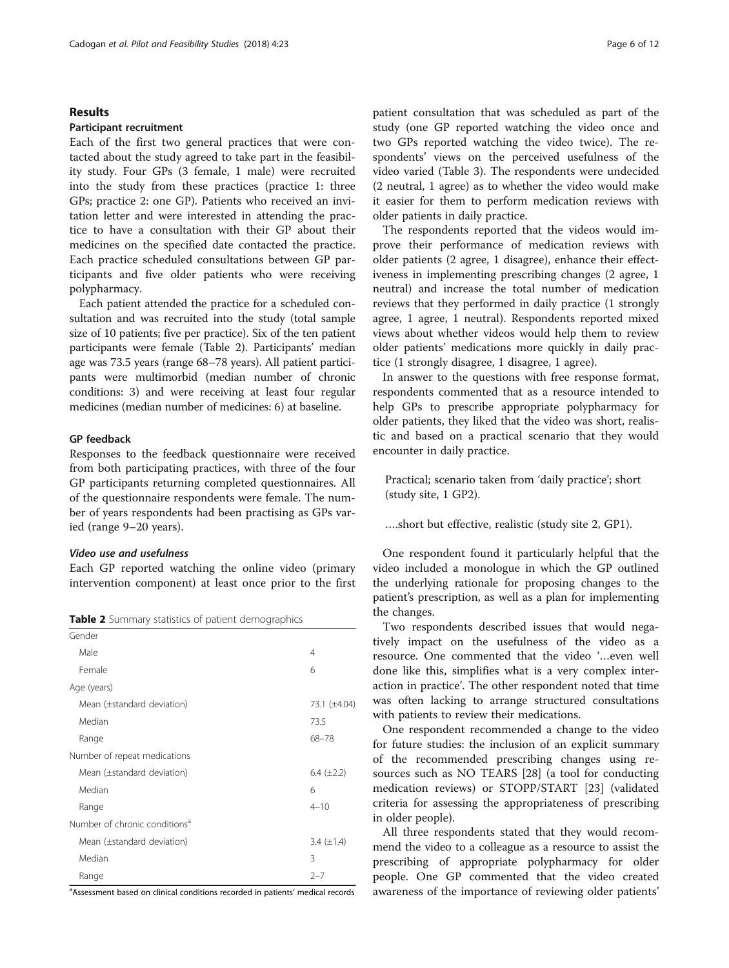### Results

#### Participant recruitment

Each of the first two general practices that were contacted about the study agreed to take part in the feasibility study. Four GPs (3 female, 1 male) were recruited into the study from these practices (practice 1: three GPs; practice 2: one GP). Patients who received an invitation letter and were interested in attending the practice to have a consultation with their GP about their medicines on the specified date contacted the practice. Each practice scheduled consultations between GP participants and five older patients who were receiving polypharmacy.

Each patient attended the practice for a scheduled consultation and was recruited into the study (total sample size of 10 patients; five per practice). Six of the ten patient participants were female (Table 2). Participants' median age was 73.5 years (range 68–78 years). All patient participants were multimorbid (median number of chronic conditions: 3) and were receiving at least four regular medicines (median number of medicines: 6) at baseline.

## GP feedback

Responses to the feedback questionnaire were received from both participating practices, with three of the four GP participants returning completed questionnaires. All of the questionnaire respondents were female. The number of years respondents had been practising as GPs varied (range 9–20 years).

## Video use and usefulness

Each GP reported watching the online video (primary intervention component) at least once prior to the first

Table 2 Summary statistics of patient demographics

| Gender                                    |                   |
|-------------------------------------------|-------------------|
| Male                                      | 4                 |
| Female                                    | 6                 |
| Age (years)                               |                   |
| Mean (±standard deviation)                | 73.1 (±4.04)      |
| Median                                    | 73.5              |
| Range                                     | $68 - 78$         |
| Number of repeat medications              |                   |
| Mean (±standard deviation)                | $6.4 \ (\pm 2.2)$ |
| Median                                    | 6                 |
| Range                                     | $4 - 10$          |
| Number of chronic conditions <sup>a</sup> |                   |
| Mean (±standard deviation)                | 3.4 $(\pm 1.4)$   |
| Median                                    | 3                 |
| Range                                     | $2 - 7$           |

<sup>a</sup>Assessment based on clinical conditions recorded in patients' medical records

patient consultation that was scheduled as part of the study (one GP reported watching the video once and two GPs reported watching the video twice). The respondents' views on the perceived usefulness of the video varied (Table [3\)](#page-6-0). The respondents were undecided (2 neutral, 1 agree) as to whether the video would make it easier for them to perform medication reviews with older patients in daily practice.

The respondents reported that the videos would improve their performance of medication reviews with older patients (2 agree, 1 disagree), enhance their effectiveness in implementing prescribing changes (2 agree, 1 neutral) and increase the total number of medication reviews that they performed in daily practice (1 strongly agree, 1 agree, 1 neutral). Respondents reported mixed views about whether videos would help them to review older patients' medications more quickly in daily practice (1 strongly disagree, 1 disagree, 1 agree).

In answer to the questions with free response format, respondents commented that as a resource intended to help GPs to prescribe appropriate polypharmacy for older patients, they liked that the video was short, realistic and based on a practical scenario that they would encounter in daily practice.

Practical; scenario taken from 'daily practice'; short (study site, 1 GP2).

….short but effective, realistic (study site 2, GP1).

One respondent found it particularly helpful that the video included a monologue in which the GP outlined the underlying rationale for proposing changes to the patient's prescription, as well as a plan for implementing the changes.

Two respondents described issues that would negatively impact on the usefulness of the video as a resource. One commented that the video '…even well done like this, simplifies what is a very complex interaction in practice'. The other respondent noted that time was often lacking to arrange structured consultations with patients to review their medications.

One respondent recommended a change to the video for future studies: the inclusion of an explicit summary of the recommended prescribing changes using resources such as NO TEARS [[28\]](#page-11-0) (a tool for conducting medication reviews) or STOPP/START [[23\]](#page-11-0) (validated criteria for assessing the appropriateness of prescribing in older people).

All three respondents stated that they would recommend the video to a colleague as a resource to assist the prescribing of appropriate polypharmacy for older people. One GP commented that the video created awareness of the importance of reviewing older patients'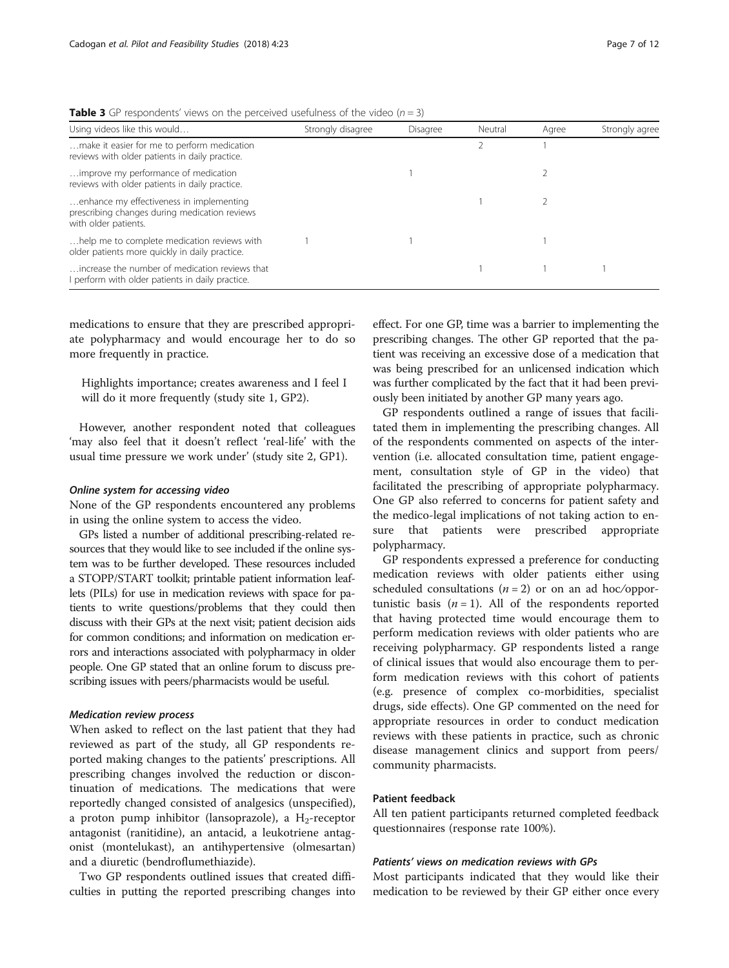| Using videos like this would                                                                                      | Strongly disagree | Disagree | Neutral | Agree | Strongly agree |
|-------------------------------------------------------------------------------------------------------------------|-------------------|----------|---------|-------|----------------|
| make it easier for me to perform medication<br>reviews with older patients in daily practice.                     |                   |          |         |       |                |
| improve my performance of medication<br>reviews with older patients in daily practice.                            |                   |          |         |       |                |
| enhance my effectiveness in implementing<br>prescribing changes during medication reviews<br>with older patients. |                   |          |         |       |                |
| help me to complete medication reviews with<br>older patients more quickly in daily practice.                     |                   |          |         |       |                |
| increase the number of medication reviews that<br>perform with older patients in daily practice.                  |                   |          |         |       |                |

<span id="page-6-0"></span>**Table 3** GP respondents' views on the perceived usefulness of the video ( $n = 3$ )

medications to ensure that they are prescribed appropriate polypharmacy and would encourage her to do so more frequently in practice.

Highlights importance; creates awareness and I feel I will do it more frequently (study site 1, GP2).

However, another respondent noted that colleagues 'may also feel that it doesn't reflect 'real-life' with the usual time pressure we work under' (study site 2, GP1).

#### Online system for accessing video

None of the GP respondents encountered any problems in using the online system to access the video.

GPs listed a number of additional prescribing-related resources that they would like to see included if the online system was to be further developed. These resources included a STOPP/START toolkit; printable patient information leaflets (PILs) for use in medication reviews with space for patients to write questions/problems that they could then discuss with their GPs at the next visit; patient decision aids for common conditions; and information on medication errors and interactions associated with polypharmacy in older people. One GP stated that an online forum to discuss prescribing issues with peers/pharmacists would be useful.

#### Medication review process

When asked to reflect on the last patient that they had reviewed as part of the study, all GP respondents reported making changes to the patients' prescriptions. All prescribing changes involved the reduction or discontinuation of medications. The medications that were reportedly changed consisted of analgesics (unspecified), a proton pump inhibitor (lansoprazole), a  $H_2$ -receptor antagonist (ranitidine), an antacid, a leukotriene antagonist (montelukast), an antihypertensive (olmesartan) and a diuretic (bendroflumethiazide).

Two GP respondents outlined issues that created difficulties in putting the reported prescribing changes into

effect. For one GP, time was a barrier to implementing the prescribing changes. The other GP reported that the patient was receiving an excessive dose of a medication that was being prescribed for an unlicensed indication which was further complicated by the fact that it had been previously been initiated by another GP many years ago.

GP respondents outlined a range of issues that facilitated them in implementing the prescribing changes. All of the respondents commented on aspects of the intervention (i.e. allocated consultation time, patient engagement, consultation style of GP in the video) that facilitated the prescribing of appropriate polypharmacy. One GP also referred to concerns for patient safety and the medico-legal implications of not taking action to ensure that patients were prescribed appropriate polypharmacy.

GP respondents expressed a preference for conducting medication reviews with older patients either using scheduled consultations ( $n = 2$ ) or on an ad hoc/opportunistic basis  $(n = 1)$ . All of the respondents reported that having protected time would encourage them to perform medication reviews with older patients who are receiving polypharmacy. GP respondents listed a range of clinical issues that would also encourage them to perform medication reviews with this cohort of patients (e.g. presence of complex co-morbidities, specialist drugs, side effects). One GP commented on the need for appropriate resources in order to conduct medication reviews with these patients in practice, such as chronic disease management clinics and support from peers/ community pharmacists.

#### Patient feedback

All ten patient participants returned completed feedback questionnaires (response rate 100%).

## Patients' views on medication reviews with GPs

Most participants indicated that they would like their medication to be reviewed by their GP either once every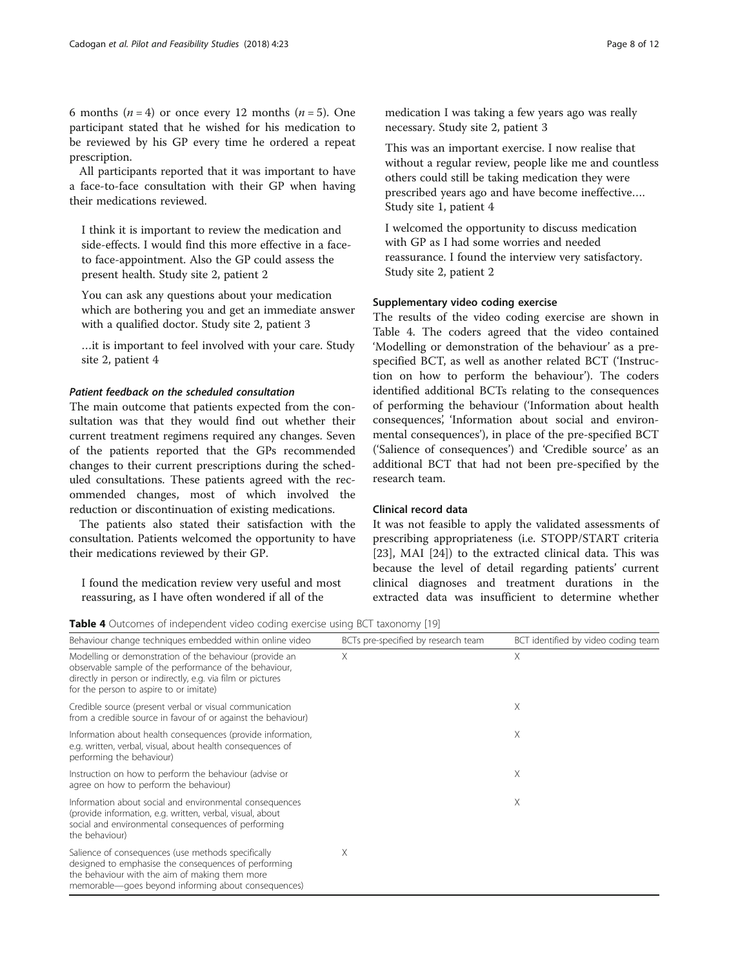6 months  $(n = 4)$  or once every 12 months  $(n = 5)$ . One participant stated that he wished for his medication to be reviewed by his GP every time he ordered a repeat prescription.

All participants reported that it was important to have a face-to-face consultation with their GP when having their medications reviewed.

I think it is important to review the medication and side-effects. I would find this more effective in a faceto face-appointment. Also the GP could assess the present health. Study site 2, patient 2

You can ask any questions about your medication which are bothering you and get an immediate answer with a qualified doctor. Study site 2, patient 3

…it is important to feel involved with your care. Study site 2, patient 4

## Patient feedback on the scheduled consultation

The main outcome that patients expected from the consultation was that they would find out whether their current treatment regimens required any changes. Seven of the patients reported that the GPs recommended changes to their current prescriptions during the scheduled consultations. These patients agreed with the recommended changes, most of which involved the reduction or discontinuation of existing medications.

The patients also stated their satisfaction with the consultation. Patients welcomed the opportunity to have their medications reviewed by their GP.

I found the medication review very useful and most reassuring, as I have often wondered if all of the

medication I was taking a few years ago was really necessary. Study site 2, patient 3

This was an important exercise. I now realise that without a regular review, people like me and countless others could still be taking medication they were prescribed years ago and have become ineffective…. Study site 1, patient 4

I welcomed the opportunity to discuss medication with GP as I had some worries and needed reassurance. I found the interview very satisfactory. Study site 2, patient 2

## Supplementary video coding exercise

The results of the video coding exercise are shown in Table 4. The coders agreed that the video contained 'Modelling or demonstration of the behaviour' as a prespecified BCT, as well as another related BCT ('Instruction on how to perform the behaviour'). The coders identified additional BCTs relating to the consequences of performing the behaviour ('Information about health consequences', 'Information about social and environmental consequences'), in place of the pre-specified BCT ('Salience of consequences') and 'Credible source' as an additional BCT that had not been pre-specified by the research team.

## Clinical record data

It was not feasible to apply the validated assessments of prescribing appropriateness (i.e. STOPP/START criteria [[23\]](#page-11-0), MAI [[24\]](#page-11-0)) to the extracted clinical data. This was because the level of detail regarding patients' current clinical diagnoses and treatment durations in the extracted data was insufficient to determine whether

Table 4 Outcomes of independent video coding exercise using BCT taxonomy [\[19\]](#page-11-0)

| Behaviour change techniques embedded within online video                                                                                                                                                                    | BCTs pre-specified by research team | BCT identified by video coding team |
|-----------------------------------------------------------------------------------------------------------------------------------------------------------------------------------------------------------------------------|-------------------------------------|-------------------------------------|
| Modelling or demonstration of the behaviour (provide an<br>observable sample of the performance of the behaviour,<br>directly in person or indirectly, e.g. via film or pictures<br>for the person to aspire to or imitate) | Χ                                   | Χ                                   |
| Credible source (present verbal or visual communication<br>from a credible source in favour of or against the behaviour)                                                                                                    |                                     | Χ                                   |
| Information about health consequences (provide information,<br>e.g. written, verbal, visual, about health consequences of<br>performing the behaviour)                                                                      |                                     | Χ                                   |
| Instruction on how to perform the behaviour (advise or<br>agree on how to perform the behaviour)                                                                                                                            |                                     | Χ                                   |
| Information about social and environmental consequences<br>(provide information, e.g. written, verbal, visual, about<br>social and environmental consequences of performing<br>the behaviour)                               |                                     | Χ                                   |
| Salience of consequences (use methods specifically<br>designed to emphasise the consequences of performing<br>the behaviour with the aim of making them more<br>memorable-goes beyond informing about consequences)         | Χ                                   |                                     |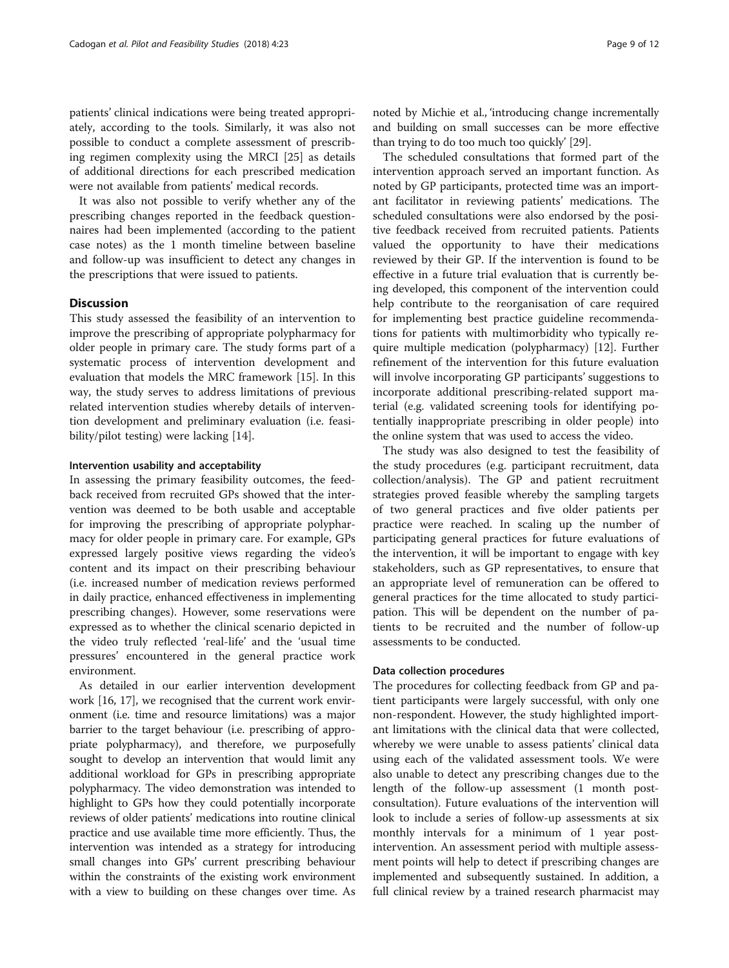patients' clinical indications were being treated appropriately, according to the tools. Similarly, it was also not possible to conduct a complete assessment of prescribing regimen complexity using the MRCI [[25\]](#page-11-0) as details of additional directions for each prescribed medication were not available from patients' medical records.

It was also not possible to verify whether any of the prescribing changes reported in the feedback questionnaires had been implemented (according to the patient case notes) as the 1 month timeline between baseline and follow-up was insufficient to detect any changes in the prescriptions that were issued to patients.

## **Discussion**

This study assessed the feasibility of an intervention to improve the prescribing of appropriate polypharmacy for older people in primary care. The study forms part of a systematic process of intervention development and evaluation that models the MRC framework [\[15](#page-11-0)]. In this way, the study serves to address limitations of previous related intervention studies whereby details of intervention development and preliminary evaluation (i.e. feasibility/pilot testing) were lacking [[14\]](#page-11-0).

#### Intervention usability and acceptability

In assessing the primary feasibility outcomes, the feedback received from recruited GPs showed that the intervention was deemed to be both usable and acceptable for improving the prescribing of appropriate polypharmacy for older people in primary care. For example, GPs expressed largely positive views regarding the video's content and its impact on their prescribing behaviour (i.e. increased number of medication reviews performed in daily practice, enhanced effectiveness in implementing prescribing changes). However, some reservations were expressed as to whether the clinical scenario depicted in the video truly reflected 'real-life' and the 'usual time pressures' encountered in the general practice work environment.

As detailed in our earlier intervention development work [\[16, 17\]](#page-11-0), we recognised that the current work environment (i.e. time and resource limitations) was a major barrier to the target behaviour (i.e. prescribing of appropriate polypharmacy), and therefore, we purposefully sought to develop an intervention that would limit any additional workload for GPs in prescribing appropriate polypharmacy. The video demonstration was intended to highlight to GPs how they could potentially incorporate reviews of older patients' medications into routine clinical practice and use available time more efficiently. Thus, the intervention was intended as a strategy for introducing small changes into GPs' current prescribing behaviour within the constraints of the existing work environment with a view to building on these changes over time. As

noted by Michie et al., 'introducing change incrementally and building on small successes can be more effective than trying to do too much too quickly' [\[29\]](#page-11-0).

The scheduled consultations that formed part of the intervention approach served an important function. As noted by GP participants, protected time was an important facilitator in reviewing patients' medications. The scheduled consultations were also endorsed by the positive feedback received from recruited patients. Patients valued the opportunity to have their medications reviewed by their GP. If the intervention is found to be effective in a future trial evaluation that is currently being developed, this component of the intervention could help contribute to the reorganisation of care required for implementing best practice guideline recommendations for patients with multimorbidity who typically require multiple medication (polypharmacy) [[12](#page-11-0)]. Further refinement of the intervention for this future evaluation will involve incorporating GP participants' suggestions to incorporate additional prescribing-related support material (e.g. validated screening tools for identifying potentially inappropriate prescribing in older people) into the online system that was used to access the video.

The study was also designed to test the feasibility of the study procedures (e.g. participant recruitment, data collection/analysis). The GP and patient recruitment strategies proved feasible whereby the sampling targets of two general practices and five older patients per practice were reached. In scaling up the number of participating general practices for future evaluations of the intervention, it will be important to engage with key stakeholders, such as GP representatives, to ensure that an appropriate level of remuneration can be offered to general practices for the time allocated to study participation. This will be dependent on the number of patients to be recruited and the number of follow-up assessments to be conducted.

#### Data collection procedures

The procedures for collecting feedback from GP and patient participants were largely successful, with only one non-respondent. However, the study highlighted important limitations with the clinical data that were collected, whereby we were unable to assess patients' clinical data using each of the validated assessment tools. We were also unable to detect any prescribing changes due to the length of the follow-up assessment (1 month postconsultation). Future evaluations of the intervention will look to include a series of follow-up assessments at six monthly intervals for a minimum of 1 year postintervention. An assessment period with multiple assessment points will help to detect if prescribing changes are implemented and subsequently sustained. In addition, a full clinical review by a trained research pharmacist may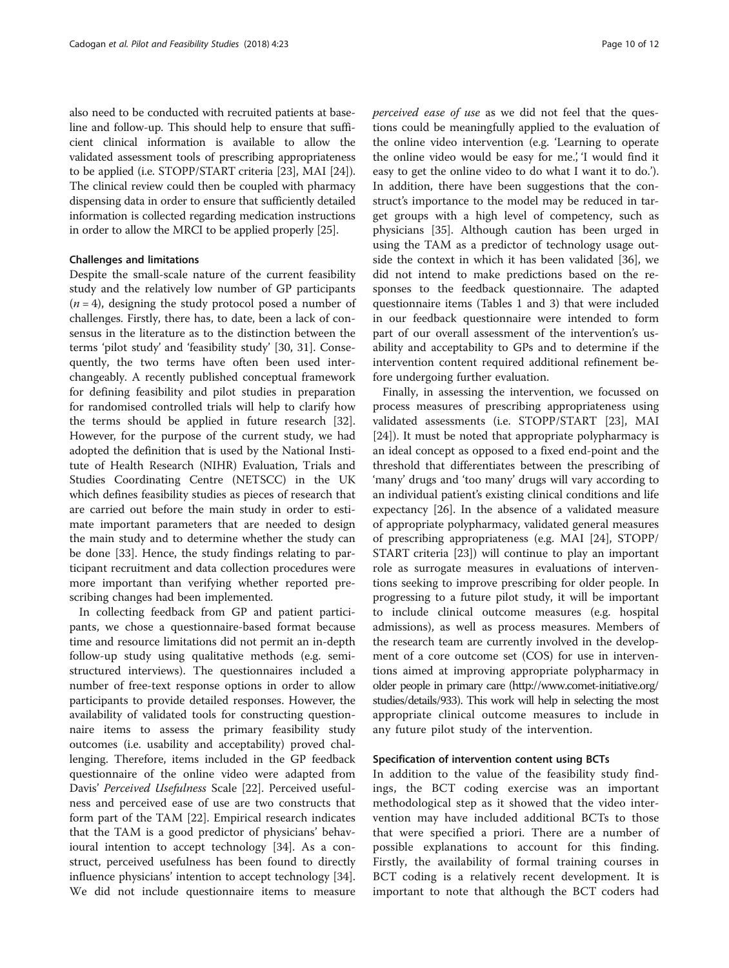also need to be conducted with recruited patients at baseline and follow-up. This should help to ensure that sufficient clinical information is available to allow the validated assessment tools of prescribing appropriateness to be applied (i.e. STOPP/START criteria [\[23\]](#page-11-0), MAI [[24](#page-11-0)]). The clinical review could then be coupled with pharmacy dispensing data in order to ensure that sufficiently detailed information is collected regarding medication instructions in order to allow the MRCI to be applied properly [\[25\]](#page-11-0).

#### Challenges and limitations

Despite the small-scale nature of the current feasibility study and the relatively low number of GP participants  $(n = 4)$ , designing the study protocol posed a number of challenges. Firstly, there has, to date, been a lack of consensus in the literature as to the distinction between the terms 'pilot study' and 'feasibility study' [\[30](#page-11-0), [31\]](#page-11-0). Consequently, the two terms have often been used interchangeably. A recently published conceptual framework for defining feasibility and pilot studies in preparation for randomised controlled trials will help to clarify how the terms should be applied in future research [\[32](#page-11-0)]. However, for the purpose of the current study, we had adopted the definition that is used by the National Institute of Health Research (NIHR) Evaluation, Trials and Studies Coordinating Centre (NETSCC) in the UK which defines feasibility studies as pieces of research that are carried out before the main study in order to estimate important parameters that are needed to design the main study and to determine whether the study can be done [\[33\]](#page-11-0). Hence, the study findings relating to participant recruitment and data collection procedures were more important than verifying whether reported prescribing changes had been implemented.

In collecting feedback from GP and patient participants, we chose a questionnaire-based format because time and resource limitations did not permit an in-depth follow-up study using qualitative methods (e.g. semistructured interviews). The questionnaires included a number of free-text response options in order to allow participants to provide detailed responses. However, the availability of validated tools for constructing questionnaire items to assess the primary feasibility study outcomes (i.e. usability and acceptability) proved challenging. Therefore, items included in the GP feedback questionnaire of the online video were adapted from Davis' Perceived Usefulness Scale [[22\]](#page-11-0). Perceived usefulness and perceived ease of use are two constructs that form part of the TAM [\[22\]](#page-11-0). Empirical research indicates that the TAM is a good predictor of physicians' behavioural intention to accept technology [[34\]](#page-11-0). As a construct, perceived usefulness has been found to directly influence physicians' intention to accept technology [\[34](#page-11-0)]. We did not include questionnaire items to measure perceived ease of use as we did not feel that the questions could be meaningfully applied to the evaluation of the online video intervention (e.g. 'Learning to operate the online video would be easy for me.', 'I would find it easy to get the online video to do what I want it to do.'). In addition, there have been suggestions that the construct's importance to the model may be reduced in target groups with a high level of competency, such as physicians [[35](#page-11-0)]. Although caution has been urged in using the TAM as a predictor of technology usage outside the context in which it has been validated [\[36](#page-11-0)], we did not intend to make predictions based on the responses to the feedback questionnaire. The adapted questionnaire items (Tables [1](#page-4-0) and [3](#page-6-0)) that were included in our feedback questionnaire were intended to form part of our overall assessment of the intervention's usability and acceptability to GPs and to determine if the intervention content required additional refinement before undergoing further evaluation.

Finally, in assessing the intervention, we focussed on process measures of prescribing appropriateness using validated assessments (i.e. STOPP/START [[23](#page-11-0)], MAI [[24\]](#page-11-0)). It must be noted that appropriate polypharmacy is an ideal concept as opposed to a fixed end-point and the threshold that differentiates between the prescribing of 'many' drugs and 'too many' drugs will vary according to an individual patient's existing clinical conditions and life expectancy [\[26](#page-11-0)]. In the absence of a validated measure of appropriate polypharmacy, validated general measures of prescribing appropriateness (e.g. MAI [[24\]](#page-11-0), STOPP/ START criteria [[23\]](#page-11-0)) will continue to play an important role as surrogate measures in evaluations of interventions seeking to improve prescribing for older people. In progressing to a future pilot study, it will be important to include clinical outcome measures (e.g. hospital admissions), as well as process measures. Members of the research team are currently involved in the development of a core outcome set (COS) for use in interventions aimed at improving appropriate polypharmacy in older people in primary care [\(http://www.comet-initiative.org/](http://www.comet-initiative.org/studies/details/933) [studies/details/933](http://www.comet-initiative.org/studies/details/933)). This work will help in selecting the most appropriate clinical outcome measures to include in any future pilot study of the intervention.

#### Specification of intervention content using BCTs

In addition to the value of the feasibility study findings, the BCT coding exercise was an important methodological step as it showed that the video intervention may have included additional BCTs to those that were specified a priori. There are a number of possible explanations to account for this finding. Firstly, the availability of formal training courses in BCT coding is a relatively recent development. It is important to note that although the BCT coders had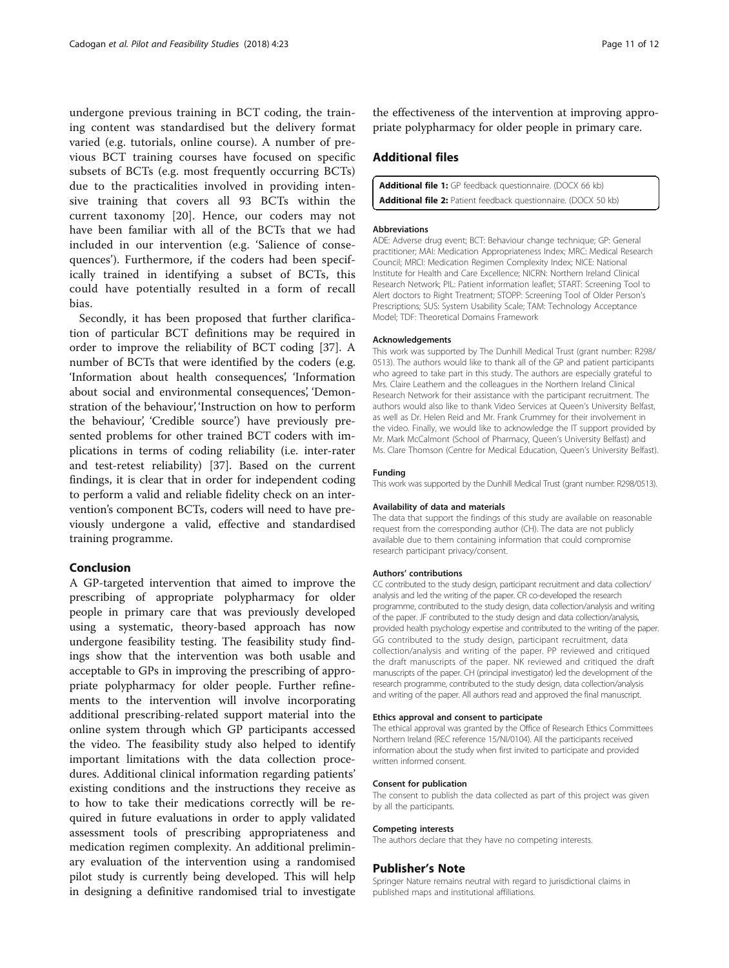<span id="page-10-0"></span>undergone previous training in BCT coding, the training content was standardised but the delivery format varied (e.g. tutorials, online course). A number of previous BCT training courses have focused on specific subsets of BCTs (e.g. most frequently occurring BCTs) due to the practicalities involved in providing intensive training that covers all 93 BCTs within the current taxonomy [[20\]](#page-11-0). Hence, our coders may not have been familiar with all of the BCTs that we had included in our intervention (e.g. 'Salience of consequences'). Furthermore, if the coders had been specifically trained in identifying a subset of BCTs, this could have potentially resulted in a form of recall bias.

Secondly, it has been proposed that further clarification of particular BCT definitions may be required in order to improve the reliability of BCT coding [\[37\]](#page-11-0). A number of BCTs that were identified by the coders (e.g. 'Information about health consequences', 'Information about social and environmental consequences', 'Demonstration of the behaviour', 'Instruction on how to perform the behaviour', 'Credible source') have previously presented problems for other trained BCT coders with implications in terms of coding reliability (i.e. inter-rater and test-retest reliability) [\[37](#page-11-0)]. Based on the current findings, it is clear that in order for independent coding to perform a valid and reliable fidelity check on an intervention's component BCTs, coders will need to have previously undergone a valid, effective and standardised training programme.

## Conclusion

A GP-targeted intervention that aimed to improve the prescribing of appropriate polypharmacy for older people in primary care that was previously developed using a systematic, theory-based approach has now undergone feasibility testing. The feasibility study findings show that the intervention was both usable and acceptable to GPs in improving the prescribing of appropriate polypharmacy for older people. Further refinements to the intervention will involve incorporating additional prescribing-related support material into the online system through which GP participants accessed the video. The feasibility study also helped to identify important limitations with the data collection procedures. Additional clinical information regarding patients' existing conditions and the instructions they receive as to how to take their medications correctly will be required in future evaluations in order to apply validated assessment tools of prescribing appropriateness and medication regimen complexity. An additional preliminary evaluation of the intervention using a randomised pilot study is currently being developed. This will help in designing a definitive randomised trial to investigate

the effectiveness of the intervention at improving appropriate polypharmacy for older people in primary care.

## Additional files

[Additional file 1:](dx.doi.org/10.1186/s40814-017-0166-3) GP feedback questionnaire. (DOCX 66 kb) [Additional file 2:](dx.doi.org/10.1186/s40814-017-0166-3) Patient feedback questionnaire. (DOCX 50 kb)

#### Abbreviations

ADE: Adverse drug event; BCT: Behaviour change technique; GP: General practitioner; MAI: Medication Appropriateness Index; MRC: Medical Research Council; MRCI: Medication Regimen Complexity Index; NICE: National Institute for Health and Care Excellence; NICRN: Northern Ireland Clinical Research Network; PIL: Patient information leaflet; START: Screening Tool to Alert doctors to Right Treatment; STOPP: Screening Tool of Older Person's Prescriptions; SUS: System Usability Scale; TAM: Technology Acceptance Model; TDF: Theoretical Domains Framework

#### Acknowledgements

This work was supported by The Dunhill Medical Trust (grant number: R298/ 0513). The authors would like to thank all of the GP and patient participants who agreed to take part in this study. The authors are especially grateful to Mrs. Claire Leathem and the colleagues in the Northern Ireland Clinical Research Network for their assistance with the participant recruitment. The authors would also like to thank Video Services at Queen's University Belfast, as well as Dr. Helen Reid and Mr. Frank Crummey for their involvement in the video. Finally, we would like to acknowledge the IT support provided by Mr. Mark McCalmont (School of Pharmacy, Queen's University Belfast) and Ms. Clare Thomson (Centre for Medical Education, Queen's University Belfast).

#### Funding

This work was supported by the Dunhill Medical Trust (grant number: R298/0513).

#### Availability of data and materials

The data that support the findings of this study are available on reasonable request from the corresponding author (CH). The data are not publicly available due to them containing information that could compromise research participant privacy/consent.

#### Authors' contributions

CC contributed to the study design, participant recruitment and data collection/ analysis and led the writing of the paper. CR co-developed the research programme, contributed to the study design, data collection/analysis and writing of the paper. JF contributed to the study design and data collection/analysis, provided health psychology expertise and contributed to the writing of the paper. GG contributed to the study design, participant recruitment, data collection/analysis and writing of the paper. PP reviewed and critiqued the draft manuscripts of the paper. NK reviewed and critiqued the draft manuscripts of the paper. CH (principal investigator) led the development of the research programme, contributed to the study design, data collection/analysis and writing of the paper. All authors read and approved the final manuscript.

#### Ethics approval and consent to participate

The ethical approval was granted by the Office of Research Ethics Committees Northern Ireland (REC reference 15/NI/0104). All the participants received information about the study when first invited to participate and provided written informed consent.

#### Consent for publication

The consent to publish the data collected as part of this project was given by all the participants.

#### Competing interests

The authors declare that they have no competing interests.

#### Publisher's Note

Springer Nature remains neutral with regard to jurisdictional claims in published maps and institutional affiliations.